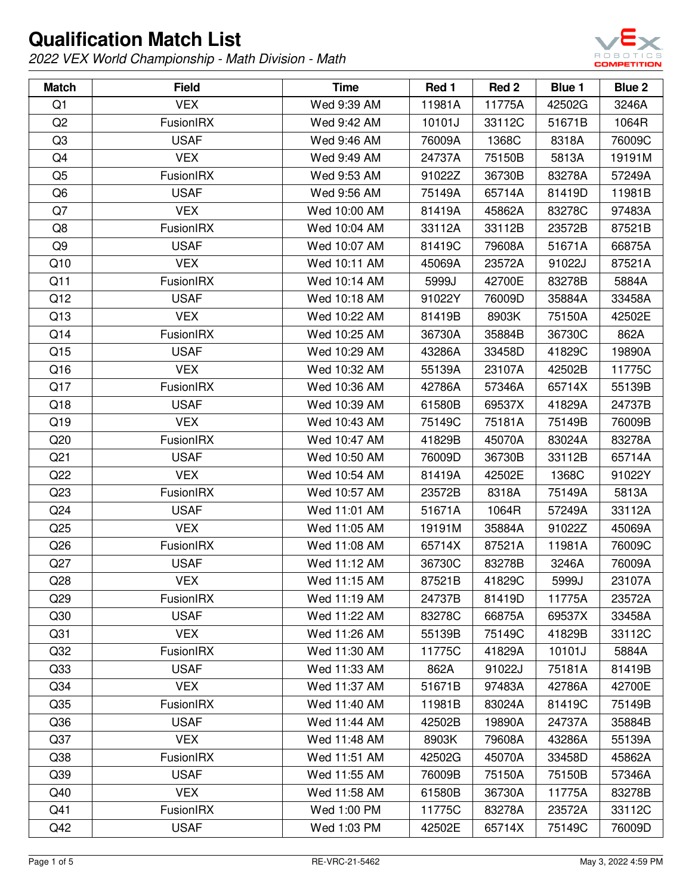

| <b>Match</b>    | <b>Field</b>     | <b>Time</b>  | Red 1  | Red 2  | Blue 1 | Blue 2 |
|-----------------|------------------|--------------|--------|--------|--------|--------|
| Q1              | <b>VEX</b>       | Wed 9:39 AM  | 11981A | 11775A | 42502G | 3246A  |
| Q2              | FusionIRX        | Wed 9:42 AM  | 10101J | 33112C | 51671B | 1064R  |
| Q <sub>3</sub>  | <b>USAF</b>      | Wed 9:46 AM  | 76009A | 1368C  | 8318A  | 76009C |
| Q4              | <b>VEX</b>       | Wed 9:49 AM  | 24737A | 75150B | 5813A  | 19191M |
| Q <sub>5</sub>  | FusionIRX        | Wed 9:53 AM  | 91022Z | 36730B | 83278A | 57249A |
| Q <sub>6</sub>  | <b>USAF</b>      | Wed 9:56 AM  | 75149A | 65714A | 81419D | 11981B |
| Q7              | <b>VEX</b>       | Wed 10:00 AM | 81419A | 45862A | 83278C | 97483A |
| Q8              | FusionIRX        | Wed 10:04 AM | 33112A | 33112B | 23572B | 87521B |
| Q <sub>9</sub>  | <b>USAF</b>      | Wed 10:07 AM | 81419C | 79608A | 51671A | 66875A |
| Q10             | <b>VEX</b>       | Wed 10:11 AM | 45069A | 23572A | 91022J | 87521A |
| Q11             | <b>FusionIRX</b> | Wed 10:14 AM | 5999J  | 42700E | 83278B | 5884A  |
| Q12             | <b>USAF</b>      | Wed 10:18 AM | 91022Y | 76009D | 35884A | 33458A |
| Q13             | <b>VEX</b>       | Wed 10:22 AM | 81419B | 8903K  | 75150A | 42502E |
| Q14             | FusionIRX        | Wed 10:25 AM | 36730A | 35884B | 36730C | 862A   |
| Q15             | <b>USAF</b>      | Wed 10:29 AM | 43286A | 33458D | 41829C | 19890A |
| Q16             | <b>VEX</b>       | Wed 10:32 AM | 55139A | 23107A | 42502B | 11775C |
| Q17             | FusionIRX        | Wed 10:36 AM | 42786A | 57346A | 65714X | 55139B |
| Q18             | <b>USAF</b>      | Wed 10:39 AM | 61580B | 69537X | 41829A | 24737B |
| Q19             | <b>VEX</b>       | Wed 10:43 AM | 75149C | 75181A | 75149B | 76009B |
| Q20             | FusionIRX        | Wed 10:47 AM | 41829B | 45070A | 83024A | 83278A |
| Q <sub>21</sub> | <b>USAF</b>      | Wed 10:50 AM | 76009D | 36730B | 33112B | 65714A |
| Q22             | <b>VEX</b>       | Wed 10:54 AM | 81419A | 42502E | 1368C  | 91022Y |
| Q23             | FusionIRX        | Wed 10:57 AM | 23572B | 8318A  | 75149A | 5813A  |
| Q <sub>24</sub> | <b>USAF</b>      | Wed 11:01 AM | 51671A | 1064R  | 57249A | 33112A |
| Q <sub>25</sub> | <b>VEX</b>       | Wed 11:05 AM | 19191M | 35884A | 91022Z | 45069A |
| Q26             | FusionIRX        | Wed 11:08 AM | 65714X | 87521A | 11981A | 76009C |
| Q27             | <b>USAF</b>      | Wed 11:12 AM | 36730C | 83278B | 3246A  | 76009A |
| Q28             | <b>VEX</b>       | Wed 11:15 AM | 87521B | 41829C | 5999J  | 23107A |
| Q <sub>29</sub> | FusionIRX        | Wed 11:19 AM | 24737B | 81419D | 11775A | 23572A |
| Q <sub>30</sub> | <b>USAF</b>      | Wed 11:22 AM | 83278C | 66875A | 69537X | 33458A |
| Q <sub>31</sub> | <b>VEX</b>       | Wed 11:26 AM | 55139B | 75149C | 41829B | 33112C |
| Q <sub>32</sub> | FusionIRX        | Wed 11:30 AM | 11775C | 41829A | 10101J | 5884A  |
| Q <sub>33</sub> | <b>USAF</b>      | Wed 11:33 AM | 862A   | 91022J | 75181A | 81419B |
| Q <sub>34</sub> | <b>VEX</b>       | Wed 11:37 AM | 51671B | 97483A | 42786A | 42700E |
| Q <sub>35</sub> | FusionIRX        | Wed 11:40 AM | 11981B | 83024A | 81419C | 75149B |
| Q36             | <b>USAF</b>      | Wed 11:44 AM | 42502B | 19890A | 24737A | 35884B |
| Q <sub>37</sub> | <b>VEX</b>       | Wed 11:48 AM | 8903K  | 79608A | 43286A | 55139A |
| Q38             | FusionIRX        | Wed 11:51 AM | 42502G | 45070A | 33458D | 45862A |
| Q <sub>39</sub> | <b>USAF</b>      | Wed 11:55 AM | 76009B | 75150A | 75150B | 57346A |
| Q40             | <b>VEX</b>       | Wed 11:58 AM | 61580B | 36730A | 11775A | 83278B |
| Q41             | FusionIRX        | Wed 1:00 PM  | 11775C | 83278A | 23572A | 33112C |
| Q42             | <b>USAF</b>      | Wed 1:03 PM  | 42502E | 65714X | 75149C | 76009D |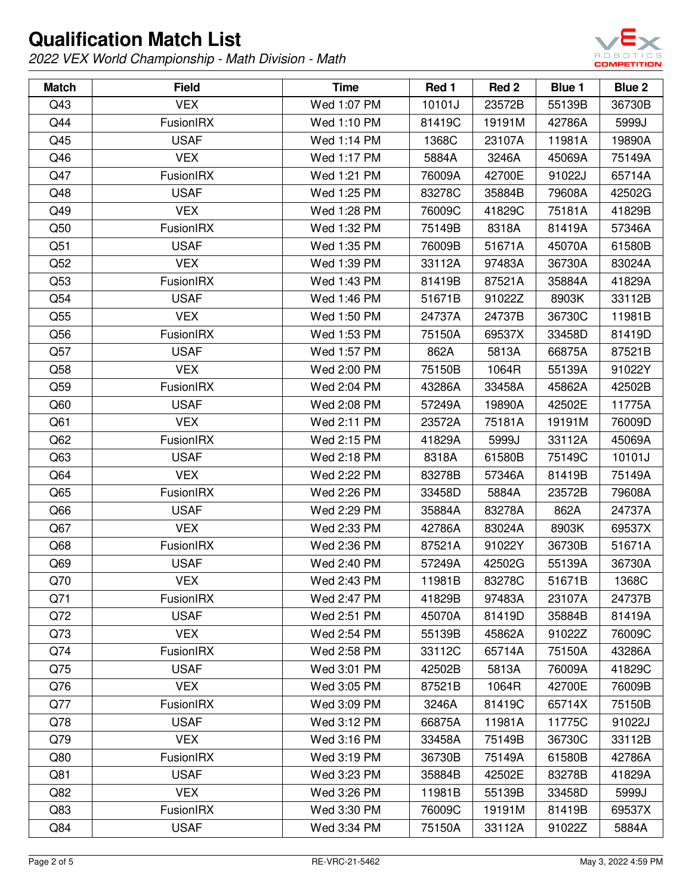

| <b>Match</b>    | <b>Field</b> | <b>Time</b> | Red 1  | Red 2  | Blue 1 | Blue 2 |
|-----------------|--------------|-------------|--------|--------|--------|--------|
| Q43             | <b>VEX</b>   | Wed 1:07 PM | 10101J | 23572B | 55139B | 36730B |
| Q44             | FusionIRX    | Wed 1:10 PM | 81419C | 19191M | 42786A | 5999J  |
| Q45             | <b>USAF</b>  | Wed 1:14 PM | 1368C  | 23107A | 11981A | 19890A |
| Q46             | <b>VEX</b>   | Wed 1:17 PM | 5884A  | 3246A  | 45069A | 75149A |
| Q47             | FusionIRX    | Wed 1:21 PM | 76009A | 42700E | 91022J | 65714A |
| Q48             | <b>USAF</b>  | Wed 1:25 PM | 83278C | 35884B | 79608A | 42502G |
| Q49             | <b>VEX</b>   | Wed 1:28 PM | 76009C | 41829C | 75181A | 41829B |
| Q50             | FusionIRX    | Wed 1:32 PM | 75149B | 8318A  | 81419A | 57346A |
| Q51             | <b>USAF</b>  | Wed 1:35 PM | 76009B | 51671A | 45070A | 61580B |
| Q52             | <b>VEX</b>   | Wed 1:39 PM | 33112A | 97483A | 36730A | 83024A |
| Q53             | FusionIRX    | Wed 1:43 PM | 81419B | 87521A | 35884A | 41829A |
| Q54             | <b>USAF</b>  | Wed 1:46 PM | 51671B | 91022Z | 8903K  | 33112B |
| Q55             | <b>VEX</b>   | Wed 1:50 PM | 24737A | 24737B | 36730C | 11981B |
| Q56             | FusionIRX    | Wed 1:53 PM | 75150A | 69537X | 33458D | 81419D |
| Q57             | <b>USAF</b>  | Wed 1:57 PM | 862A   | 5813A  | 66875A | 87521B |
| Q58             | <b>VEX</b>   | Wed 2:00 PM | 75150B | 1064R  | 55139A | 91022Y |
| Q59             | FusionIRX    | Wed 2:04 PM | 43286A | 33458A | 45862A | 42502B |
| Q60             | <b>USAF</b>  | Wed 2:08 PM | 57249A | 19890A | 42502E | 11775A |
| Q61             | <b>VEX</b>   | Wed 2:11 PM | 23572A | 75181A | 19191M | 76009D |
| Q62             | FusionIRX    | Wed 2:15 PM | 41829A | 5999J  | 33112A | 45069A |
| Q <sub>63</sub> | <b>USAF</b>  | Wed 2:18 PM | 8318A  | 61580B | 75149C | 10101J |
| Q64             | <b>VEX</b>   | Wed 2:22 PM | 83278B | 57346A | 81419B | 75149A |
| Q65             | FusionIRX    | Wed 2:26 PM | 33458D | 5884A  | 23572B | 79608A |
| Q66             | <b>USAF</b>  | Wed 2:29 PM | 35884A | 83278A | 862A   | 24737A |
| Q67             | <b>VEX</b>   | Wed 2:33 PM | 42786A | 83024A | 8903K  | 69537X |
| Q <sub>68</sub> | FusionIRX    | Wed 2:36 PM | 87521A | 91022Y | 36730B | 51671A |
| Q69             | <b>USAF</b>  | Wed 2:40 PM | 57249A | 42502G | 55139A | 36730A |
| Q70             | <b>VEX</b>   | Wed 2:43 PM | 11981B | 83278C | 51671B | 1368C  |
| Q71             | FusionIRX    | Wed 2:47 PM | 41829B | 97483A | 23107A | 24737B |
| Q72             | <b>USAF</b>  | Wed 2:51 PM | 45070A | 81419D | 35884B | 81419A |
| Q73             | <b>VEX</b>   | Wed 2:54 PM | 55139B | 45862A | 91022Z | 76009C |
| Q74             | FusionIRX    | Wed 2:58 PM | 33112C | 65714A | 75150A | 43286A |
| Q75             | <b>USAF</b>  | Wed 3:01 PM | 42502B | 5813A  | 76009A | 41829C |
| Q76             | <b>VEX</b>   | Wed 3:05 PM | 87521B | 1064R  | 42700E | 76009B |
| Q77             | FusionIRX    | Wed 3:09 PM | 3246A  | 81419C | 65714X | 75150B |
| Q78             | <b>USAF</b>  | Wed 3:12 PM | 66875A | 11981A | 11775C | 91022J |
| Q79             | <b>VEX</b>   | Wed 3:16 PM | 33458A | 75149B | 36730C | 33112B |
| Q80             | FusionIRX    | Wed 3:19 PM | 36730B | 75149A | 61580B | 42786A |
| Q81             | <b>USAF</b>  | Wed 3:23 PM | 35884B | 42502E | 83278B | 41829A |
| Q82             | <b>VEX</b>   | Wed 3:26 PM | 11981B | 55139B | 33458D | 5999J  |
| Q83             | FusionIRX    | Wed 3:30 PM | 76009C | 19191M | 81419B | 69537X |
| Q84             | <b>USAF</b>  | Wed 3:34 PM | 75150A | 33112A | 91022Z | 5884A  |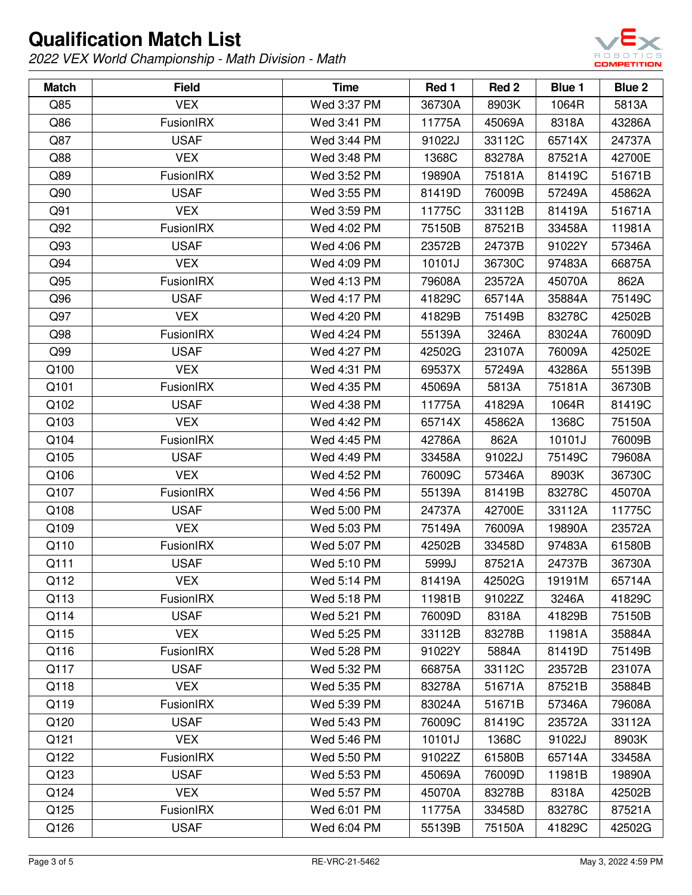

| <b>Match</b> | <b>Field</b> | <b>Time</b> | Red 1  | Red 2  | Blue 1 | Blue 2 |
|--------------|--------------|-------------|--------|--------|--------|--------|
| Q85          | <b>VEX</b>   | Wed 3:37 PM | 36730A | 8903K  | 1064R  | 5813A  |
| Q86          | FusionIRX    | Wed 3:41 PM | 11775A | 45069A | 8318A  | 43286A |
| Q87          | <b>USAF</b>  | Wed 3:44 PM | 91022J | 33112C | 65714X | 24737A |
| Q88          | <b>VEX</b>   | Wed 3:48 PM | 1368C  | 83278A | 87521A | 42700E |
| Q89          | FusionIRX    | Wed 3:52 PM | 19890A | 75181A | 81419C | 51671B |
| Q90          | <b>USAF</b>  | Wed 3:55 PM | 81419D | 76009B | 57249A | 45862A |
| Q91          | <b>VEX</b>   | Wed 3:59 PM | 11775C | 33112B | 81419A | 51671A |
| Q92          | FusionIRX    | Wed 4:02 PM | 75150B | 87521B | 33458A | 11981A |
| Q93          | <b>USAF</b>  | Wed 4:06 PM | 23572B | 24737B | 91022Y | 57346A |
| Q94          | <b>VEX</b>   | Wed 4:09 PM | 10101J | 36730C | 97483A | 66875A |
| Q95          | FusionIRX    | Wed 4:13 PM | 79608A | 23572A | 45070A | 862A   |
| Q96          | <b>USAF</b>  | Wed 4:17 PM | 41829C | 65714A | 35884A | 75149C |
| Q97          | <b>VEX</b>   | Wed 4:20 PM | 41829B | 75149B | 83278C | 42502B |
| Q98          | FusionIRX    | Wed 4:24 PM | 55139A | 3246A  | 83024A | 76009D |
| Q99          | <b>USAF</b>  | Wed 4:27 PM | 42502G | 23107A | 76009A | 42502E |
| Q100         | <b>VEX</b>   | Wed 4:31 PM | 69537X | 57249A | 43286A | 55139B |
| Q101         | FusionIRX    | Wed 4:35 PM | 45069A | 5813A  | 75181A | 36730B |
| Q102         | <b>USAF</b>  | Wed 4:38 PM | 11775A | 41829A | 1064R  | 81419C |
| Q103         | <b>VEX</b>   | Wed 4:42 PM | 65714X | 45862A | 1368C  | 75150A |
| Q104         | FusionIRX    | Wed 4:45 PM | 42786A | 862A   | 10101J | 76009B |
| Q105         | <b>USAF</b>  | Wed 4:49 PM | 33458A | 91022J | 75149C | 79608A |
| Q106         | <b>VEX</b>   | Wed 4:52 PM | 76009C | 57346A | 8903K  | 36730C |
| Q107         | FusionIRX    | Wed 4:56 PM | 55139A | 81419B | 83278C | 45070A |
| Q108         | <b>USAF</b>  | Wed 5:00 PM | 24737A | 42700E | 33112A | 11775C |
| Q109         | <b>VEX</b>   | Wed 5:03 PM | 75149A | 76009A | 19890A | 23572A |
| Q110         | FusionIRX    | Wed 5:07 PM | 42502B | 33458D | 97483A | 61580B |
| Q111         | <b>USAF</b>  | Wed 5:10 PM | 5999J  | 87521A | 24737B | 36730A |
| Q112         | <b>VEX</b>   | Wed 5:14 PM | 81419A | 42502G | 19191M | 65714A |
| Q113         | FusionIRX    | Wed 5:18 PM | 11981B | 91022Z | 3246A  | 41829C |
| Q114         | <b>USAF</b>  | Wed 5:21 PM | 76009D | 8318A  | 41829B | 75150B |
| Q115         | <b>VEX</b>   | Wed 5:25 PM | 33112B | 83278B | 11981A | 35884A |
| Q116         | FusionIRX    | Wed 5:28 PM | 91022Y | 5884A  | 81419D | 75149B |
| Q117         | <b>USAF</b>  | Wed 5:32 PM | 66875A | 33112C | 23572B | 23107A |
| Q118         | <b>VEX</b>   | Wed 5:35 PM | 83278A | 51671A | 87521B | 35884B |
| Q119         | FusionIRX    | Wed 5:39 PM | 83024A | 51671B | 57346A | 79608A |
| Q120         | <b>USAF</b>  | Wed 5:43 PM | 76009C | 81419C | 23572A | 33112A |
| Q121         | <b>VEX</b>   | Wed 5:46 PM | 10101J | 1368C  | 91022J | 8903K  |
| Q122         | FusionIRX    | Wed 5:50 PM | 91022Z | 61580B | 65714A | 33458A |
| Q123         | <b>USAF</b>  | Wed 5:53 PM | 45069A | 76009D | 11981B | 19890A |
| Q124         | <b>VEX</b>   | Wed 5:57 PM | 45070A | 83278B | 8318A  | 42502B |
| Q125         | FusionIRX    | Wed 6:01 PM | 11775A | 33458D | 83278C | 87521A |
| Q126         | <b>USAF</b>  | Wed 6:04 PM | 55139B | 75150A | 41829C | 42502G |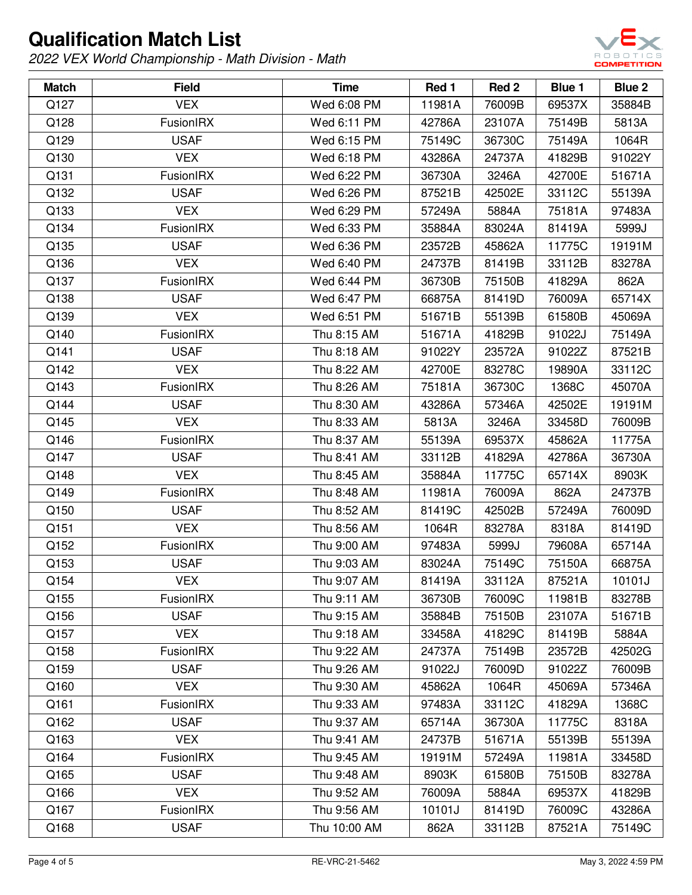

| <b>Match</b> | <b>Field</b>     | <b>Time</b>  | Red 1  | Red 2  | Blue 1 | Blue 2 |
|--------------|------------------|--------------|--------|--------|--------|--------|
| Q127         | <b>VEX</b>       | Wed 6:08 PM  | 11981A | 76009B | 69537X | 35884B |
| Q128         | FusionIRX        | Wed 6:11 PM  | 42786A | 23107A | 75149B | 5813A  |
| Q129         | <b>USAF</b>      | Wed 6:15 PM  | 75149C | 36730C | 75149A | 1064R  |
| Q130         | <b>VEX</b>       | Wed 6:18 PM  | 43286A | 24737A | 41829B | 91022Y |
| Q131         | <b>FusionIRX</b> | Wed 6:22 PM  | 36730A | 3246A  | 42700E | 51671A |
| Q132         | <b>USAF</b>      | Wed 6:26 PM  | 87521B | 42502E | 33112C | 55139A |
| Q133         | <b>VEX</b>       | Wed 6:29 PM  | 57249A | 5884A  | 75181A | 97483A |
| Q134         | FusionIRX        | Wed 6:33 PM  | 35884A | 83024A | 81419A | 5999J  |
| Q135         | <b>USAF</b>      | Wed 6:36 PM  | 23572B | 45862A | 11775C | 19191M |
| Q136         | <b>VEX</b>       | Wed 6:40 PM  | 24737B | 81419B | 33112B | 83278A |
| Q137         | <b>FusionIRX</b> | Wed 6:44 PM  | 36730B | 75150B | 41829A | 862A   |
| Q138         | <b>USAF</b>      | Wed 6:47 PM  | 66875A | 81419D | 76009A | 65714X |
| Q139         | <b>VEX</b>       | Wed 6:51 PM  | 51671B | 55139B | 61580B | 45069A |
| Q140         | <b>FusionIRX</b> | Thu 8:15 AM  | 51671A | 41829B | 91022J | 75149A |
| Q141         | <b>USAF</b>      | Thu 8:18 AM  | 91022Y | 23572A | 91022Z | 87521B |
| Q142         | <b>VEX</b>       | Thu 8:22 AM  | 42700E | 83278C | 19890A | 33112C |
| Q143         | FusionIRX        | Thu 8:26 AM  | 75181A | 36730C | 1368C  | 45070A |
| Q144         | <b>USAF</b>      | Thu 8:30 AM  | 43286A | 57346A | 42502E | 19191M |
| Q145         | <b>VEX</b>       | Thu 8:33 AM  | 5813A  | 3246A  | 33458D | 76009B |
| Q146         | FusionIRX        | Thu 8:37 AM  | 55139A | 69537X | 45862A | 11775A |
| Q147         | <b>USAF</b>      | Thu 8:41 AM  | 33112B | 41829A | 42786A | 36730A |
| Q148         | <b>VEX</b>       | Thu 8:45 AM  | 35884A | 11775C | 65714X | 8903K  |
| Q149         | FusionIRX        | Thu 8:48 AM  | 11981A | 76009A | 862A   | 24737B |
| Q150         | <b>USAF</b>      | Thu 8:52 AM  | 81419C | 42502B | 57249A | 76009D |
| Q151         | <b>VEX</b>       | Thu 8:56 AM  | 1064R  | 83278A | 8318A  | 81419D |
| Q152         | <b>FusionIRX</b> | Thu 9:00 AM  | 97483A | 5999J  | 79608A | 65714A |
| Q153         | <b>USAF</b>      | Thu 9:03 AM  | 83024A | 75149C | 75150A | 66875A |
| Q154         | <b>VEX</b>       | Thu 9:07 AM  | 81419A | 33112A | 87521A | 10101J |
| Q155         | <b>FusionIRX</b> | Thu 9:11 AM  | 36730B | 76009C | 11981B | 83278B |
| Q156         | <b>USAF</b>      | Thu 9:15 AM  | 35884B | 75150B | 23107A | 51671B |
| Q157         | <b>VEX</b>       | Thu 9:18 AM  | 33458A | 41829C | 81419B | 5884A  |
| Q158         | FusionIRX        | Thu 9:22 AM  | 24737A | 75149B | 23572B | 42502G |
| Q159         | <b>USAF</b>      | Thu 9:26 AM  | 91022J | 76009D | 91022Z | 76009B |
| Q160         | <b>VEX</b>       | Thu 9:30 AM  | 45862A | 1064R  | 45069A | 57346A |
| Q161         | FusionIRX        | Thu 9:33 AM  | 97483A | 33112C | 41829A | 1368C  |
| Q162         | <b>USAF</b>      | Thu 9:37 AM  | 65714A | 36730A | 11775C | 8318A  |
| Q163         | <b>VEX</b>       | Thu 9:41 AM  | 24737B | 51671A | 55139B | 55139A |
| Q164         | FusionIRX        | Thu 9:45 AM  | 19191M | 57249A | 11981A | 33458D |
| Q165         | <b>USAF</b>      | Thu 9:48 AM  | 8903K  | 61580B | 75150B | 83278A |
| Q166         | <b>VEX</b>       | Thu 9:52 AM  | 76009A | 5884A  | 69537X | 41829B |
| Q167         | FusionIRX        | Thu 9:56 AM  | 10101J | 81419D | 76009C | 43286A |
| Q168         | <b>USAF</b>      | Thu 10:00 AM | 862A   | 33112B | 87521A | 75149C |